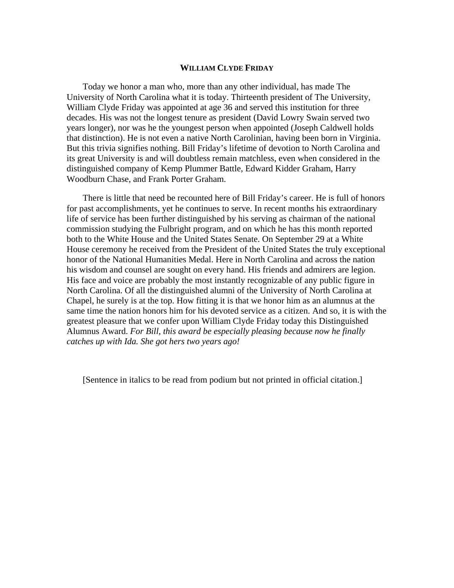# **WILLIAM CLYDE FRIDAY**

Today we honor a man who, more than any other individual, has made The University of North Carolina what it is today. Thirteenth president of The University, William Clyde Friday was appointed at age 36 and served this institution for three decades. His was not the longest tenure as president (David Lowry Swain served two years longer), nor was he the youngest person when appointed (Joseph Caldwell holds that distinction). He is not even a native North Carolinian, having been born in Virginia. But this trivia signifies nothing. Bill Friday's lifetime of devotion to North Carolina and its great University is and will doubtless remain matchless, even when considered in the distinguished company of Kemp Plummer Battle, Edward Kidder Graham, Harry Woodburn Chase, and Frank Porter Graham.

There is little that need be recounted here of Bill Friday's career. He is full of honors for past accomplishments, yet he continues to serve. In recent months his extraordinary life of service has been further distinguished by his serving as chairman of the national commission studying the Fulbright program, and on which he has this month reported both to the White House and the United States Senate. On September 29 at a White House ceremony he received from the President of the United States the truly exceptional honor of the National Humanities Medal. Here in North Carolina and across the nation his wisdom and counsel are sought on every hand. His friends and admirers are legion. His face and voice are probably the most instantly recognizable of any public figure in North Carolina. Of all the distinguished alumni of the University of North Carolina at Chapel, he surely is at the top. How fitting it is that we honor him as an alumnus at the same time the nation honors him for his devoted service as a citizen. And so, it is with the greatest pleasure that we confer upon William Clyde Friday today this Distinguished Alumnus Award. *For Bill, this award be especially pleasing because now he finally catches up with Ida. She got hers two years ago!* 

[Sentence in italics to be read from podium but not printed in official citation.]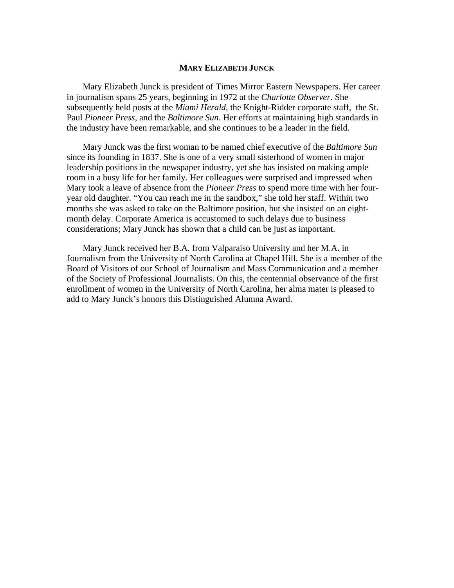# **MARY ELIZABETH JUNCK**

Mary Elizabeth Junck is president of Times Mirror Eastern Newspapers. Her career in journalism spans 25 years, beginning in 1972 at the *Charlotte Observer*. She subsequently held posts at the *Miami Herald*, the Knight-Ridder corporate staff, the St. Paul *Pioneer Press*, and the *Baltimore Sun*. Her efforts at maintaining high standards in the industry have been remarkable, and she continues to be a leader in the field.

Mary Junck was the first woman to be named chief executive of the *Baltimore Sun* since its founding in 1837. She is one of a very small sisterhood of women in major leadership positions in the newspaper industry, yet she has insisted on making ample room in a busy life for her family. Her colleagues were surprised and impressed when Mary took a leave of absence from the *Pioneer Press* to spend more time with her fouryear old daughter. "You can reach me in the sandbox," she told her staff. Within two months she was asked to take on the Baltimore position, but she insisted on an eightmonth delay. Corporate America is accustomed to such delays due to business considerations; Mary Junck has shown that a child can be just as important.

Mary Junck received her B.A. from Valparaiso University and her M.A. in Journalism from the University of North Carolina at Chapel Hill. She is a member of the Board of Visitors of our School of Journalism and Mass Communication and a member of the Society of Professional Journalists. On this, the centennial observance of the first enrollment of women in the University of North Carolina, her alma mater is pleased to add to Mary Junck's honors this Distinguished Alumna Award.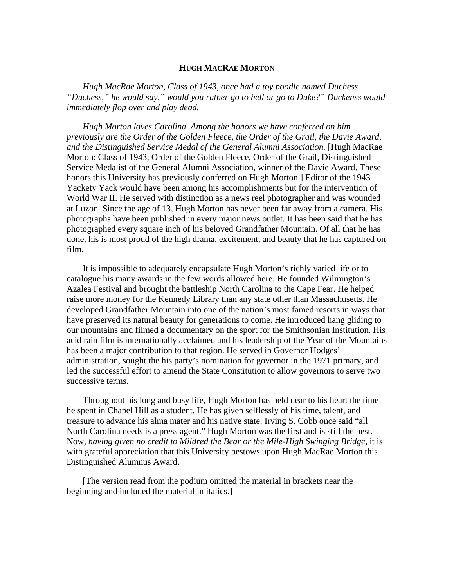# **HUGH MACRAE MORTON**

*Hugh MacRae Morton, Class of 1943, once had a toy poodle named Duchess. "Duchess," he would say," would you rather go to hell or go to Duke?" Duckenss would immediately flop over and play dead.* 

*Hugh Morton loves Carolina. Among the honors we have conferred on him previously are the Order of the Golden Fleece, the Order of the Grail, the Davie Award, and the Distinguished Service Medal of the General Alumni Association.* [Hugh MacRae Morton: Class of 1943, Order of the Golden Fleece, Order of the Grail, Distinguished Service Medalist of the General Alumni Association, winner of the Davie Award. These honors this University has previously conferred on Hugh Morton.] Editor of the 1943 Yackety Yack would have been among his accomplishments but for the intervention of World War II. He served with distinction as a news reel photographer and was wounded at Luzon. Since the age of 13, Hugh Morton has never been far away from a camera. His photographs have been published in every major news outlet. It has been said that he has photographed every square inch of his beloved Grandfather Mountain. Of all that he has done, his is most proud of the high drama, excitement, and beauty that he has captured on film.

It is impossible to adequately encapsulate Hugh Morton's richly varied life or to catalogue his many awards in the few words allowed here. He founded Wilmington's Azalea Festival and brought the battleship North Carolina to the Cape Fear. He helped raise more money for the Kennedy Library than any state other than Massachusetts. He developed Grandfather Mountain into one of the nation's most famed resorts in ways that have preserved its natural beauty for generations to come. He introduced hang gliding to our mountains and filmed a documentary on the sport for the Smithsonian Institution. His acid rain film is internationally acclaimed and his leadership of the Year of the Mountains has been a major contribution to that region. He served in Governor Hodges' administration, sought the his party's nomination for governor in the 1971 primary, and led the successful effort to amend the State Constitution to allow governors to serve two successive terms.

Throughout his long and busy life, Hugh Morton has held dear to his heart the time he spent in Chapel Hill as a student. He has given selflessly of his time, talent, and treasure to advance his alma mater and his native state. Irving S. Cobb once said "all North Carolina needs is a press agent." Hugh Morton was the first and is still the best. Now, having given no credit to Mildred the Bear or the Mile-High Swinging Bridge, it is with grateful appreciation that this University bestows upon Hugh MacRae Morton this Distinguished Alumnus Award.

[The version read from the podium omitted the material in brackets near the beginning and included the material in italics.]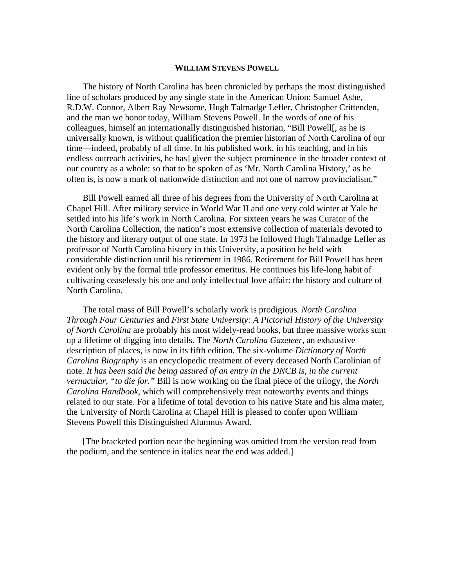#### **WILLIAM STEVENS POWELL**

The history of North Carolina has been chronicled by perhaps the most distinguished line of scholars produced by any single state in the American Union: Samuel Ashe, R.D.W. Connor, Albert Ray Newsome, Hugh Talmadge Lefler, Christopher Crittenden, and the man we honor today, William Stevens Powell. In the words of one of his colleagues, himself an internationally distinguished historian, "Bill Powell[, as he is universally known, is without qualification the premier historian of North Carolina of our time—indeed, probably of all time. In his published work, in his teaching, and in his endless outreach activities, he has] given the subject prominence in the broader context of our country as a whole: so that to be spoken of as 'Mr. North Carolina History,' as he often is, is now a mark of nationwide distinction and not one of narrow provincialism."

Bill Powell earned all three of his degrees from the University of North Carolina at Chapel Hill. After military service in World War II and one very cold winter at Yale he settled into his life's work in North Carolina. For sixteen years he was Curator of the North Carolina Collection, the nation's most extensive collection of materials devoted to the history and literary output of one state. In 1973 he followed Hugh Talmadge Lefler as professor of North Carolina history in this University, a position he held with considerable distinction until his retirement in 1986. Retirement for Bill Powell has been evident only by the formal title professor emeritus. He continues his life-long habit of cultivating ceaselessly his one and only intellectual love affair: the history and culture of North Carolina.

The total mass of Bill Powell's scholarly work is prodigious. *North Carolina Through Four Centuries* and *First State University: A Pictorial History of the University of North Carolina* are probably his most widely-read books, but three massive works sum up a lifetime of digging into details. The *North Carolina Gazeteer,* an exhaustive description of places, is now in its fifth edition. The six-volume *Dictionary of North Carolina Biography* is an encyclopedic treatment of every deceased North Carolinian of note. *It has been said the being assured of an entry in the DNCB is, in the current vernacular, "to die for."* Bill is now working on the final piece of the trilogy, the *North Carolina Handbook*, which will comprehensively treat noteworthy events and things related to our state. For a lifetime of total devotion to his native State and his alma mater, the University of North Carolina at Chapel Hill is pleased to confer upon William Stevens Powell this Distinguished Alumnus Award.

[The bracketed portion near the beginning was omitted from the version read from the podium, and the sentence in italics near the end was added.]